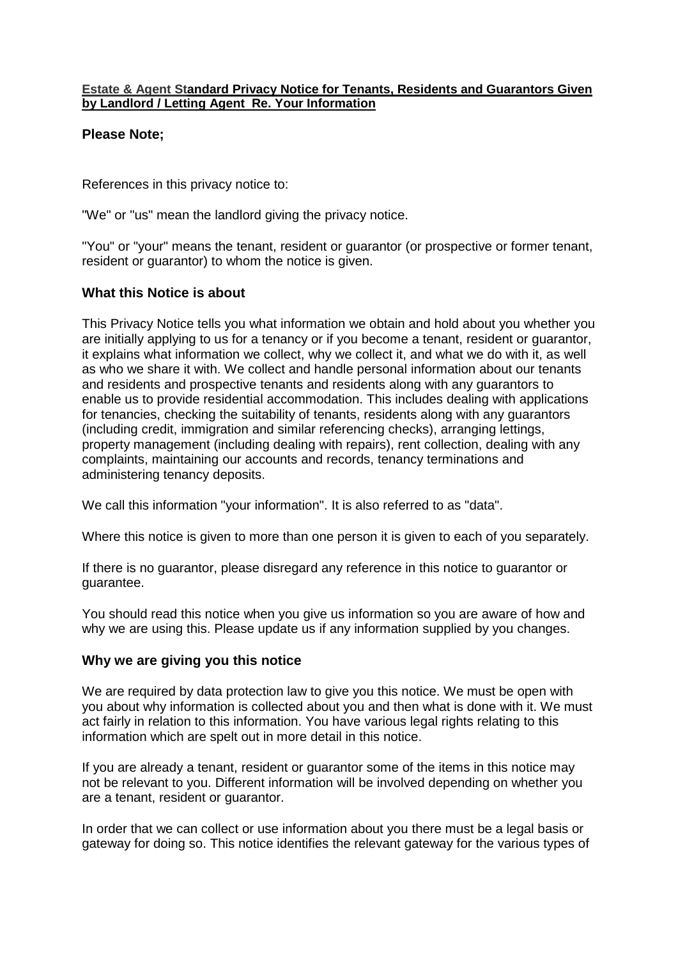#### **Estate & Agent Standard Privacy Notice for Tenants, Residents and Guarantors Given by Landlord / Letting Agent Re. Your Information**

#### **Please Note;**

References in this privacy notice to:

"We" or "us" mean the landlord giving the privacy notice.

"You" or "your" means the tenant, resident or guarantor (or prospective or former tenant, resident or guarantor) to whom the notice is given.

#### **What this Notice is about**

This Privacy Notice tells you what information we obtain and hold about you whether you are initially applying to us for a tenancy or if you become a tenant, resident or guarantor, it explains what information we collect, why we collect it, and what we do with it, as well as who we share it with. We collect and handle personal information about our tenants and residents and prospective tenants and residents along with any guarantors to enable us to provide residential accommodation. This includes dealing with applications for tenancies, checking the suitability of tenants, residents along with any guarantors (including credit, immigration and similar referencing checks), arranging lettings, property management (including dealing with repairs), rent collection, dealing with any complaints, maintaining our accounts and records, tenancy terminations and administering tenancy deposits.

We call this information "your information". It is also referred to as "data".

Where this notice is given to more than one person it is given to each of you separately.

If there is no guarantor, please disregard any reference in this notice to guarantor or guarantee.

You should read this notice when you give us information so you are aware of how and why we are using this. Please update us if any information supplied by you changes.

#### **Why we are giving you this notice**

We are required by data protection law to give you this notice. We must be open with you about why information is collected about you and then what is done with it. We must act fairly in relation to this information. You have various legal rights relating to this information which are spelt out in more detail in this notice.

If you are already a tenant, resident or guarantor some of the items in this notice may not be relevant to you. Different information will be involved depending on whether you are a tenant, resident or guarantor.

In order that we can collect or use information about you there must be a legal basis or gateway for doing so. This notice identifies the relevant gateway for the various types of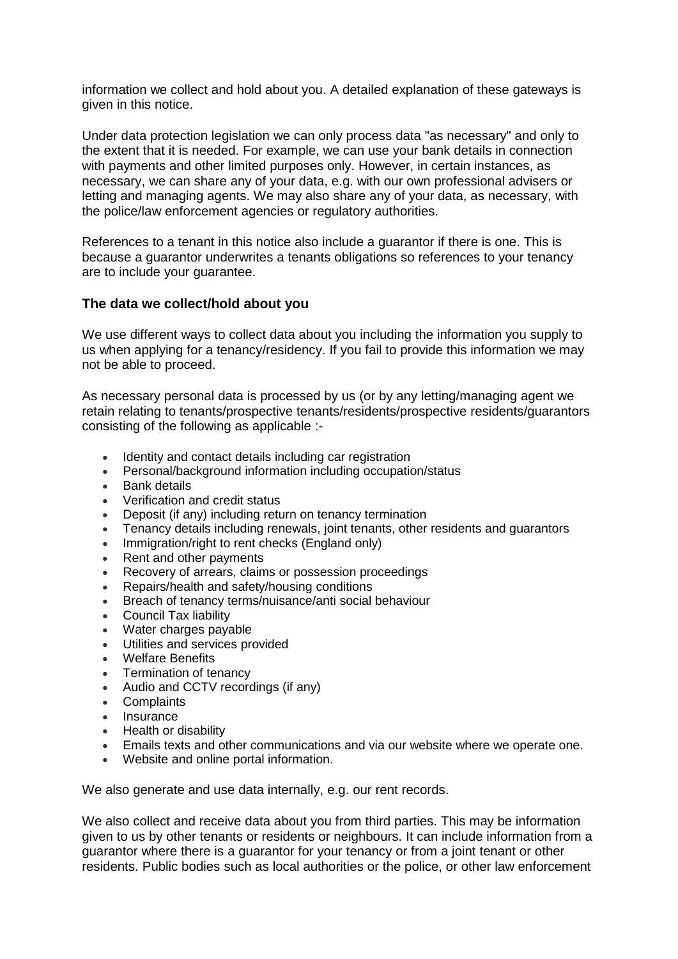information we collect and hold about you. A detailed explanation of these gateways is given in this notice.

Under data protection legislation we can only process data "as necessary" and only to the extent that it is needed. For example, we can use your bank details in connection with payments and other limited purposes only. However, in certain instances, as necessary, we can share any of your data, e.g. with our own professional advisers or letting and managing agents. We may also share any of your data, as necessary, with the police/law enforcement agencies or regulatory authorities.

References to a tenant in this notice also include a guarantor if there is one. This is because a guarantor underwrites a tenants obligations so references to your tenancy are to include your guarantee.

## **The data we collect/hold about you**

We use different ways to collect data about you including the information you supply to us when applying for a tenancy/residency. If you fail to provide this information we may not be able to proceed.

As necessary personal data is processed by us (or by any letting/managing agent we retain relating to tenants/prospective tenants/residents/prospective residents/guarantors consisting of the following as applicable :-

- Identity and contact details including car registration
- Personal/background information including occupation/status
- Bank details
- Verification and credit status
- Deposit (if any) including return on tenancy termination
- Tenancy details including renewals, joint tenants, other residents and guarantors
- Immigration/right to rent checks (England only)
- Rent and other payments
- Recovery of arrears, claims or possession proceedings
- Repairs/health and safety/housing conditions
- **Breach of tenancy terms/nuisance/anti social behaviour**
- Council Tax liability
- Water charges payable
- Utilities and services provided
- Welfare Benefits
- Termination of tenancy
- Audio and CCTV recordings (if any)
- **Complaints**
- Insurance
- Health or disability
- Emails texts and other communications and via our website where we operate one.
- Website and online portal information.

We also generate and use data internally, e.g. our rent records.

We also collect and receive data about you from third parties. This may be information given to us by other tenants or residents or neighbours. It can include information from a guarantor where there is a guarantor for your tenancy or from a joint tenant or other residents. Public bodies such as local authorities or the police, or other law enforcement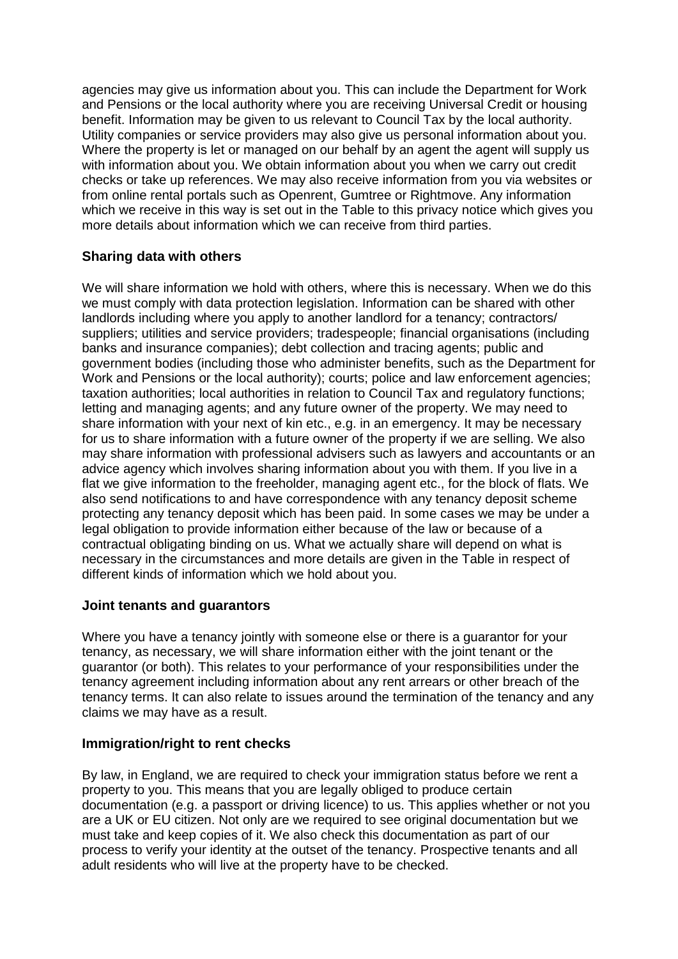agencies may give us information about you. This can include the Department for Work and Pensions or the local authority where you are receiving Universal Credit or housing benefit. Information may be given to us relevant to Council Tax by the local authority. Utility companies or service providers may also give us personal information about you. Where the property is let or managed on our behalf by an agent the agent will supply us with information about you. We obtain information about you when we carry out credit checks or take up references. We may also receive information from you via websites or from online rental portals such as Openrent, Gumtree or Rightmove. Any information which we receive in this way is set out in the Table to this privacy notice which gives you more details about information which we can receive from third parties.

## **Sharing data with others**

We will share information we hold with others, where this is necessary. When we do this we must comply with data protection legislation. Information can be shared with other landlords including where you apply to another landlord for a tenancy; contractors/ suppliers; utilities and service providers; tradespeople; financial organisations (including banks and insurance companies); debt collection and tracing agents; public and government bodies (including those who administer benefits, such as the Department for Work and Pensions or the local authority); courts; police and law enforcement agencies; taxation authorities; local authorities in relation to Council Tax and regulatory functions; letting and managing agents; and any future owner of the property. We may need to share information with your next of kin etc., e.g. in an emergency. It may be necessary for us to share information with a future owner of the property if we are selling. We also may share information with professional advisers such as lawyers and accountants or an advice agency which involves sharing information about you with them. If you live in a flat we give information to the freeholder, managing agent etc., for the block of flats. We also send notifications to and have correspondence with any tenancy deposit scheme protecting any tenancy deposit which has been paid. In some cases we may be under a legal obligation to provide information either because of the law or because of a contractual obligating binding on us. What we actually share will depend on what is necessary in the circumstances and more details are given in the Table in respect of different kinds of information which we hold about you.

## **Joint tenants and guarantors**

Where you have a tenancy jointly with someone else or there is a guarantor for your tenancy, as necessary, we will share information either with the joint tenant or the guarantor (or both). This relates to your performance of your responsibilities under the tenancy agreement including information about any rent arrears or other breach of the tenancy terms. It can also relate to issues around the termination of the tenancy and any claims we may have as a result.

## **Immigration/right to rent checks**

By law, in England, we are required to check your immigration status before we rent a property to you. This means that you are legally obliged to produce certain documentation (e.g. a passport or driving licence) to us. This applies whether or not you are a UK or EU citizen. Not only are we required to see original documentation but we must take and keep copies of it. We also check this documentation as part of our process to verify your identity at the outset of the tenancy. Prospective tenants and all adult residents who will live at the property have to be checked.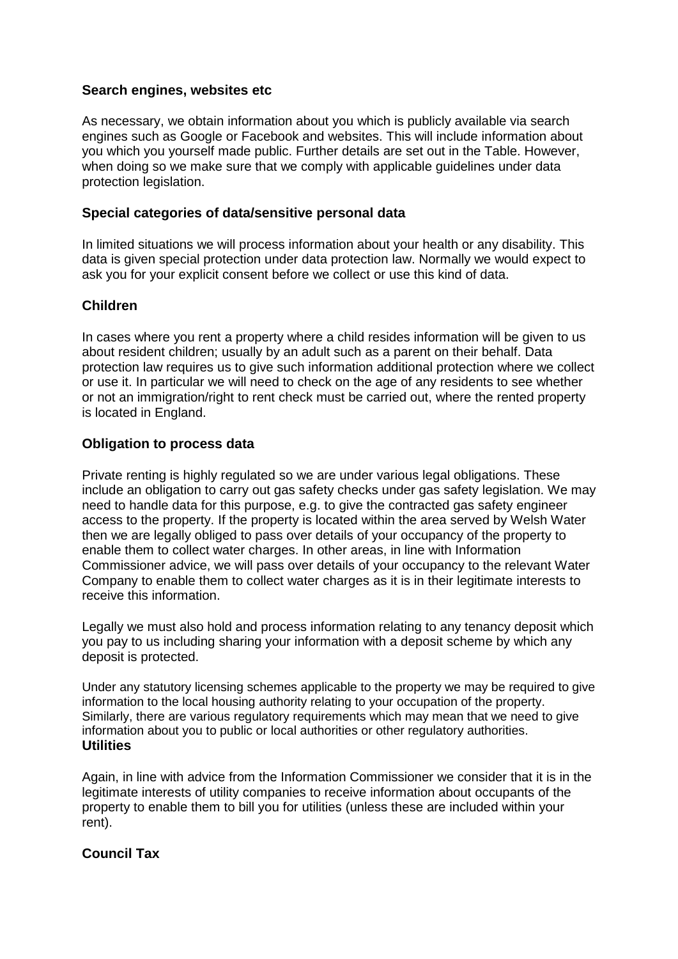## **Search engines, websites etc**

As necessary, we obtain information about you which is publicly available via search engines such as Google or Facebook and websites. This will include information about you which you yourself made public. Further details are set out in the Table. However, when doing so we make sure that we comply with applicable guidelines under data protection legislation.

## **Special categories of data/sensitive personal data**

In limited situations we will process information about your health or any disability. This data is given special protection under data protection law. Normally we would expect to ask you for your explicit consent before we collect or use this kind of data.

## **Children**

In cases where you rent a property where a child resides information will be given to us about resident children; usually by an adult such as a parent on their behalf. Data protection law requires us to give such information additional protection where we collect or use it. In particular we will need to check on the age of any residents to see whether or not an immigration/right to rent check must be carried out, where the rented property is located in England.

## **Obligation to process data**

Private renting is highly regulated so we are under various legal obligations. These include an obligation to carry out gas safety checks under gas safety legislation. We may need to handle data for this purpose, e.g. to give the contracted gas safety engineer access to the property. If the property is located within the area served by Welsh Water then we are legally obliged to pass over details of your occupancy of the property to enable them to collect water charges. In other areas, in line with Information Commissioner advice, we will pass over details of your occupancy to the relevant Water Company to enable them to collect water charges as it is in their legitimate interests to receive this information.

Legally we must also hold and process information relating to any tenancy deposit which you pay to us including sharing your information with a deposit scheme by which any deposit is protected.

Under any statutory licensing schemes applicable to the property we may be required to give information to the local housing authority relating to your occupation of the property. Similarly, there are various regulatory requirements which may mean that we need to give information about you to public or local authorities or other regulatory authorities. **Utilities**

Again, in line with advice from the Information Commissioner we consider that it is in the legitimate interests of utility companies to receive information about occupants of the property to enable them to bill you for utilities (unless these are included within your rent).

## **Council Tax**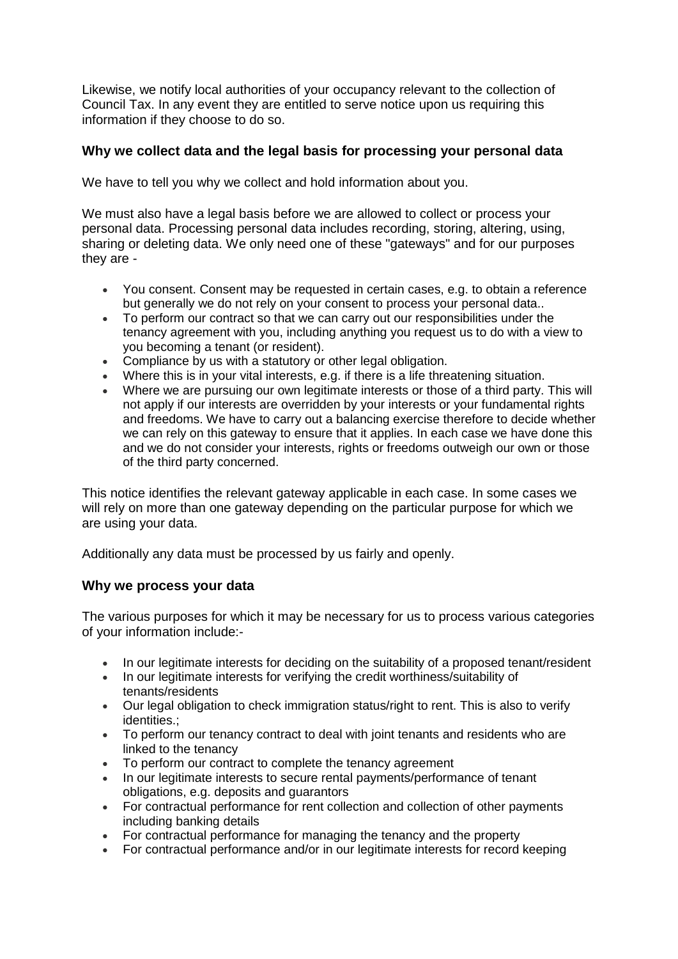Likewise, we notify local authorities of your occupancy relevant to the collection of Council Tax. In any event they are entitled to serve notice upon us requiring this information if they choose to do so.

## **Why we collect data and the legal basis for processing your personal data**

We have to tell you why we collect and hold information about you.

We must also have a legal basis before we are allowed to collect or process your personal data. Processing personal data includes recording, storing, altering, using, sharing or deleting data. We only need one of these "gateways" and for our purposes they are -

- You consent. Consent may be requested in certain cases, e.g. to obtain a reference but generally we do not rely on your consent to process your personal data..
- To perform our contract so that we can carry out our responsibilities under the tenancy agreement with you, including anything you request us to do with a view to you becoming a tenant (or resident).
- Compliance by us with a statutory or other legal obligation.
- Where this is in your vital interests, e.g. if there is a life threatening situation.
- Where we are pursuing our own legitimate interests or those of a third party. This will not apply if our interests are overridden by your interests or your fundamental rights and freedoms. We have to carry out a balancing exercise therefore to decide whether we can rely on this gateway to ensure that it applies. In each case we have done this and we do not consider your interests, rights or freedoms outweigh our own or those of the third party concerned.

This notice identifies the relevant gateway applicable in each case. In some cases we will rely on more than one gateway depending on the particular purpose for which we are using your data.

Additionally any data must be processed by us fairly and openly.

#### **Why we process your data**

The various purposes for which it may be necessary for us to process various categories of your information include:-

- In our legitimate interests for deciding on the suitability of a proposed tenant/resident
- In our legitimate interests for verifying the credit worthiness/suitability of tenants/residents
- Our legal obligation to check immigration status/right to rent. This is also to verify identities.;
- To perform our tenancy contract to deal with joint tenants and residents who are linked to the tenancy
- To perform our contract to complete the tenancy agreement
- In our legitimate interests to secure rental payments/performance of tenant obligations, e.g. deposits and guarantors
- For contractual performance for rent collection and collection of other payments including banking details
- For contractual performance for managing the tenancy and the property
- For contractual performance and/or in our legitimate interests for record keeping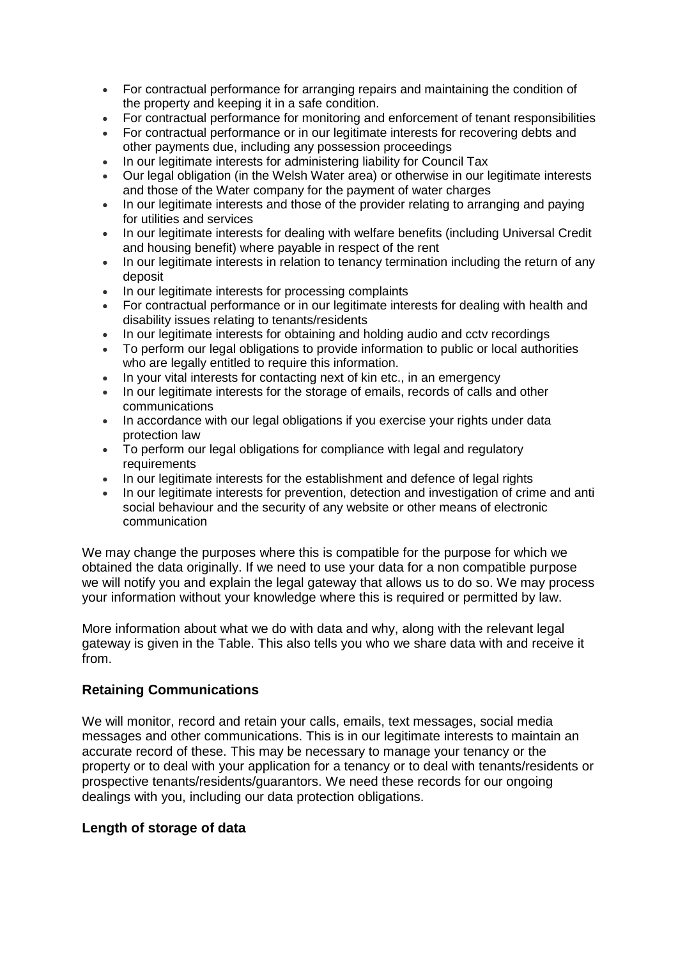- For contractual performance for arranging repairs and maintaining the condition of the property and keeping it in a safe condition.
- For contractual performance for monitoring and enforcement of tenant responsibilities
- For contractual performance or in our legitimate interests for recovering debts and other payments due, including any possession proceedings
- In our legitimate interests for administering liability for Council Tax
- Our legal obligation (in the Welsh Water area) or otherwise in our legitimate interests and those of the Water company for the payment of water charges
- In our legitimate interests and those of the provider relating to arranging and paying for utilities and services
- In our legitimate interests for dealing with welfare benefits (including Universal Credit and housing benefit) where payable in respect of the rent
- In our legitimate interests in relation to tenancy termination including the return of any deposit
- In our legitimate interests for processing complaints
- For contractual performance or in our legitimate interests for dealing with health and disability issues relating to tenants/residents
- In our legitimate interests for obtaining and holding audio and cctv recordings
- To perform our legal obligations to provide information to public or local authorities who are legally entitled to require this information.
- In your vital interests for contacting next of kin etc., in an emergency
- In our legitimate interests for the storage of emails, records of calls and other communications
- In accordance with our legal obligations if you exercise your rights under data protection law
- To perform our legal obligations for compliance with legal and regulatory requirements
- In our legitimate interests for the establishment and defence of legal rights
- In our legitimate interests for prevention, detection and investigation of crime and anti social behaviour and the security of any website or other means of electronic communication

We may change the purposes where this is compatible for the purpose for which we obtained the data originally. If we need to use your data for a non compatible purpose we will notify you and explain the legal gateway that allows us to do so. We may process your information without your knowledge where this is required or permitted by law.

More information about what we do with data and why, along with the relevant legal gateway is given in the Table. This also tells you who we share data with and receive it from.

## **Retaining Communications**

We will monitor, record and retain your calls, emails, text messages, social media messages and other communications. This is in our legitimate interests to maintain an accurate record of these. This may be necessary to manage your tenancy or the property or to deal with your application for a tenancy or to deal with tenants/residents or prospective tenants/residents/guarantors. We need these records for our ongoing dealings with you, including our data protection obligations.

## **Length of storage of data**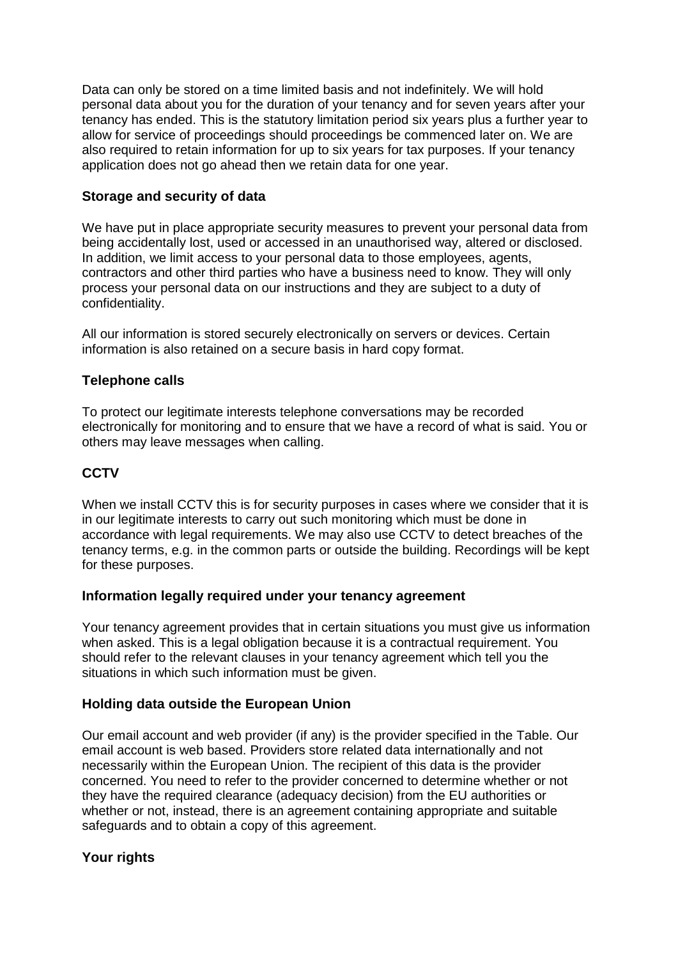Data can only be stored on a time limited basis and not indefinitely. We will hold personal data about you for the duration of your tenancy and for seven years after your tenancy has ended. This is the statutory limitation period six years plus a further year to allow for service of proceedings should proceedings be commenced later on. We are also required to retain information for up to six years for tax purposes. If your tenancy application does not go ahead then we retain data for one year.

## **Storage and security of data**

We have put in place appropriate security measures to prevent your personal data from being accidentally lost, used or accessed in an unauthorised way, altered or disclosed. In addition, we limit access to your personal data to those employees, agents, contractors and other third parties who have a business need to know. They will only process your personal data on our instructions and they are subject to a duty of confidentiality.

All our information is stored securely electronically on servers or devices. Certain information is also retained on a secure basis in hard copy format.

## **Telephone calls**

To protect our legitimate interests telephone conversations may be recorded electronically for monitoring and to ensure that we have a record of what is said. You or others may leave messages when calling.

## **CCTV**

When we install CCTV this is for security purposes in cases where we consider that it is in our legitimate interests to carry out such monitoring which must be done in accordance with legal requirements. We may also use CCTV to detect breaches of the tenancy terms, e.g. in the common parts or outside the building. Recordings will be kept for these purposes.

## **Information legally required under your tenancy agreement**

Your tenancy agreement provides that in certain situations you must give us information when asked. This is a legal obligation because it is a contractual requirement. You should refer to the relevant clauses in your tenancy agreement which tell you the situations in which such information must be given.

## **Holding data outside the European Union**

Our email account and web provider (if any) is the provider specified in the Table. Our email account is web based. Providers store related data internationally and not necessarily within the European Union. The recipient of this data is the provider concerned. You need to refer to the provider concerned to determine whether or not they have the required clearance (adequacy decision) from the EU authorities or whether or not, instead, there is an agreement containing appropriate and suitable safeguards and to obtain a copy of this agreement.

## **Your rights**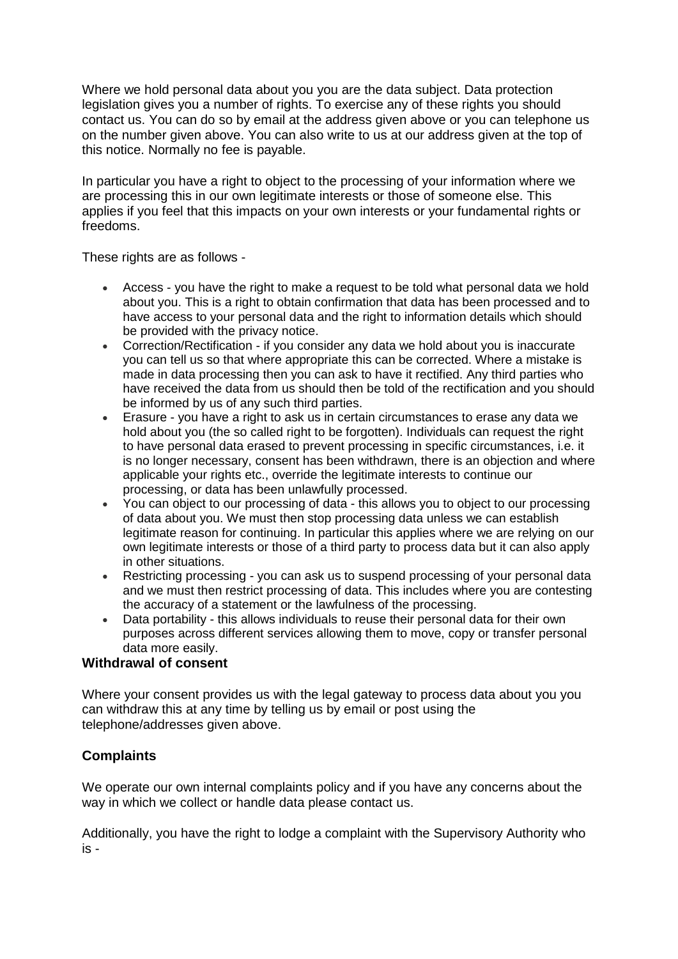Where we hold personal data about you you are the data subject. Data protection legislation gives you a number of rights. To exercise any of these rights you should contact us. You can do so by email at the address given above or you can telephone us on the number given above. You can also write to us at our address given at the top of this notice. Normally no fee is payable.

In particular you have a right to object to the processing of your information where we are processing this in our own legitimate interests or those of someone else. This applies if you feel that this impacts on your own interests or your fundamental rights or freedoms.

These rights are as follows -

- Access you have the right to make a request to be told what personal data we hold about you. This is a right to obtain confirmation that data has been processed and to have access to your personal data and the right to information details which should be provided with the privacy notice.
- Correction/Rectification if you consider any data we hold about you is inaccurate you can tell us so that where appropriate this can be corrected. Where a mistake is made in data processing then you can ask to have it rectified. Any third parties who have received the data from us should then be told of the rectification and you should be informed by us of any such third parties.
- Erasure you have a right to ask us in certain circumstances to erase any data we hold about you (the so called right to be forgotten). Individuals can request the right to have personal data erased to prevent processing in specific circumstances, i.e. it is no longer necessary, consent has been withdrawn, there is an objection and where applicable your rights etc., override the legitimate interests to continue our processing, or data has been unlawfully processed.
- You can object to our processing of data this allows you to object to our processing of data about you. We must then stop processing data unless we can establish legitimate reason for continuing. In particular this applies where we are relying on our own legitimate interests or those of a third party to process data but it can also apply in other situations.
- Restricting processing you can ask us to suspend processing of your personal data and we must then restrict processing of data. This includes where you are contesting the accuracy of a statement or the lawfulness of the processing.
- Data portability this allows individuals to reuse their personal data for their own purposes across different services allowing them to move, copy or transfer personal data more easily.

## **Withdrawal of consent**

Where your consent provides us with the legal gateway to process data about you you can withdraw this at any time by telling us by email or post using the telephone/addresses given above.

## **Complaints**

We operate our own internal complaints policy and if you have any concerns about the way in which we collect or handle data please contact us.

Additionally, you have the right to lodge a complaint with the Supervisory Authority who is -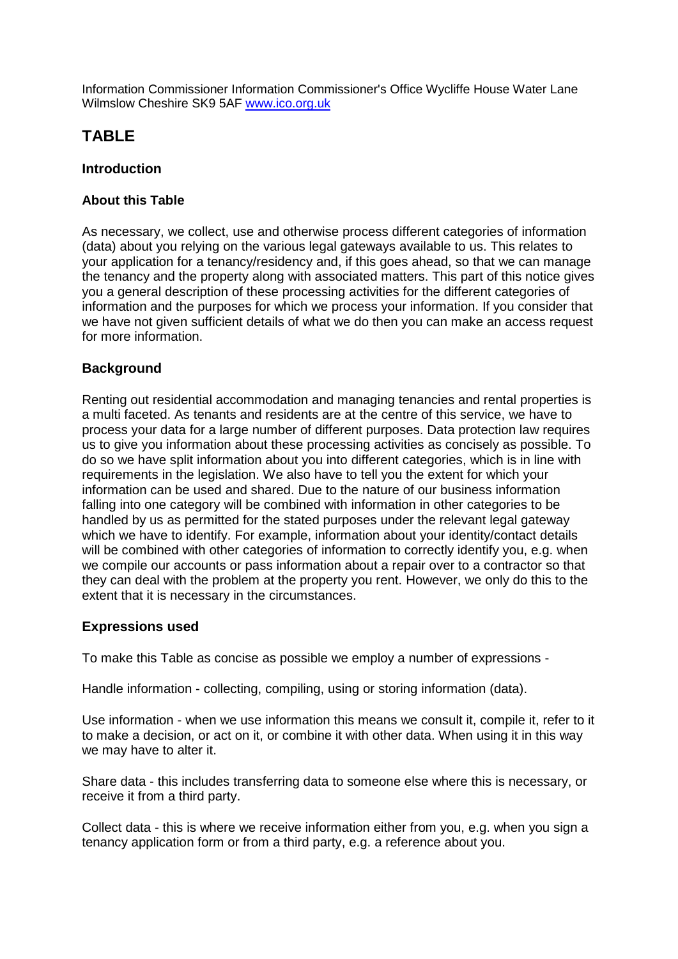Information Commissioner Information Commissioner's Office Wycliffe House Water Lane Wilmslow Cheshire SK9 5AF [www.ico.org.uk](http://www.ico.org.uk/)

## **TABLE**

## **Introduction**

## **About this Table**

As necessary, we collect, use and otherwise process different categories of information (data) about you relying on the various legal gateways available to us. This relates to your application for a tenancy/residency and, if this goes ahead, so that we can manage the tenancy and the property along with associated matters. This part of this notice gives you a general description of these processing activities for the different categories of information and the purposes for which we process your information. If you consider that we have not given sufficient details of what we do then you can make an access request for more information.

## **Background**

Renting out residential accommodation and managing tenancies and rental properties is a multi faceted. As tenants and residents are at the centre of this service, we have to process your data for a large number of different purposes. Data protection law requires us to give you information about these processing activities as concisely as possible. To do so we have split information about you into different categories, which is in line with requirements in the legislation. We also have to tell you the extent for which your information can be used and shared. Due to the nature of our business information falling into one category will be combined with information in other categories to be handled by us as permitted for the stated purposes under the relevant legal gateway which we have to identify. For example, information about your identity/contact details will be combined with other categories of information to correctly identify you, e.g. when we compile our accounts or pass information about a repair over to a contractor so that they can deal with the problem at the property you rent. However, we only do this to the extent that it is necessary in the circumstances.

## **Expressions used**

To make this Table as concise as possible we employ a number of expressions -

Handle information - collecting, compiling, using or storing information (data).

Use information - when we use information this means we consult it, compile it, refer to it to make a decision, or act on it, or combine it with other data. When using it in this way we may have to alter it.

Share data - this includes transferring data to someone else where this is necessary, or receive it from a third party.

Collect data - this is where we receive information either from you, e.g. when you sign a tenancy application form or from a third party, e.g. a reference about you.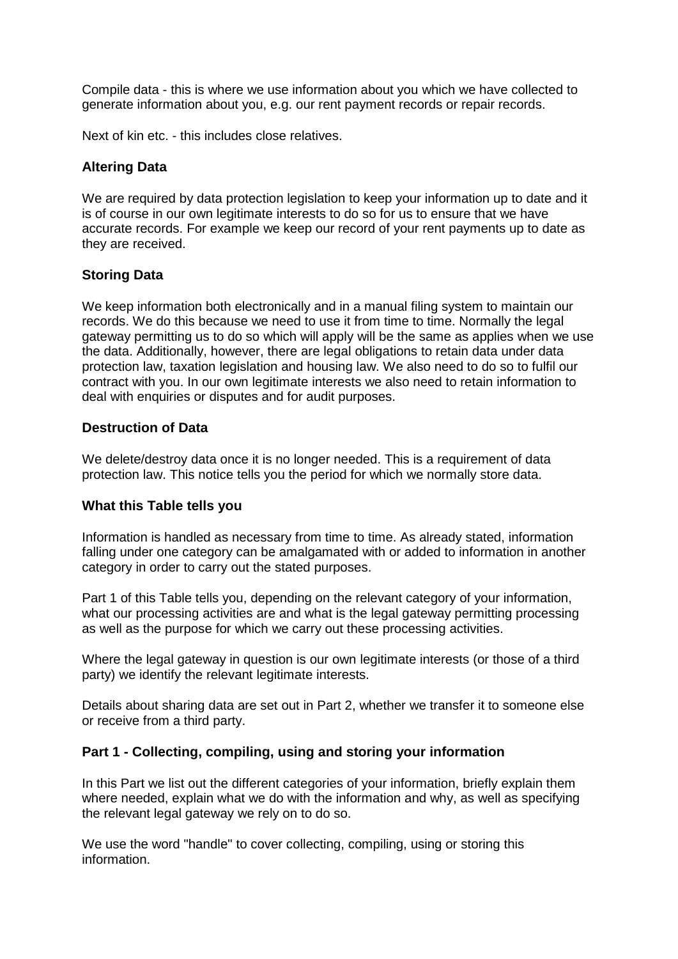Compile data - this is where we use information about you which we have collected to generate information about you, e.g. our rent payment records or repair records.

Next of kin etc. - this includes close relatives.

#### **Altering Data**

We are required by data protection legislation to keep your information up to date and it is of course in our own legitimate interests to do so for us to ensure that we have accurate records. For example we keep our record of your rent payments up to date as they are received.

#### **Storing Data**

We keep information both electronically and in a manual filing system to maintain our records. We do this because we need to use it from time to time. Normally the legal gateway permitting us to do so which will apply will be the same as applies when we use the data. Additionally, however, there are legal obligations to retain data under data protection law, taxation legislation and housing law. We also need to do so to fulfil our contract with you. In our own legitimate interests we also need to retain information to deal with enquiries or disputes and for audit purposes.

#### **Destruction of Data**

We delete/destroy data once it is no longer needed. This is a requirement of data protection law. This notice tells you the period for which we normally store data.

#### **What this Table tells you**

Information is handled as necessary from time to time. As already stated, information falling under one category can be amalgamated with or added to information in another category in order to carry out the stated purposes.

Part 1 of this Table tells you, depending on the relevant category of your information, what our processing activities are and what is the legal gateway permitting processing as well as the purpose for which we carry out these processing activities.

Where the legal gateway in question is our own legitimate interests (or those of a third party) we identify the relevant legitimate interests.

Details about sharing data are set out in Part 2, whether we transfer it to someone else or receive from a third party.

#### **Part 1 - Collecting, compiling, using and storing your information**

In this Part we list out the different categories of your information, briefly explain them where needed, explain what we do with the information and why, as well as specifying the relevant legal gateway we rely on to do so.

We use the word "handle" to cover collecting, compiling, using or storing this information.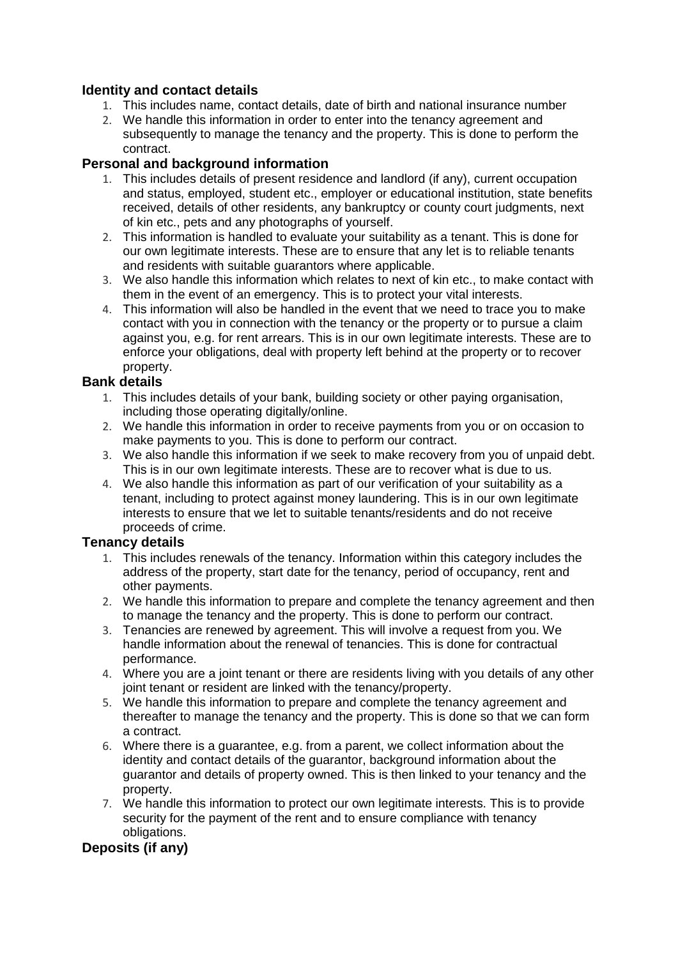## **Identity and contact details**

- 1. This includes name, contact details, date of birth and national insurance number
- 2. We handle this information in order to enter into the tenancy agreement and subsequently to manage the tenancy and the property. This is done to perform the contract.

## **Personal and background information**

- 1. This includes details of present residence and landlord (if any), current occupation and status, employed, student etc., employer or educational institution, state benefits received, details of other residents, any bankruptcy or county court judgments, next of kin etc., pets and any photographs of yourself.
- 2. This information is handled to evaluate your suitability as a tenant. This is done for our own legitimate interests. These are to ensure that any let is to reliable tenants and residents with suitable guarantors where applicable.
- 3. We also handle this information which relates to next of kin etc., to make contact with them in the event of an emergency. This is to protect your vital interests.
- 4. This information will also be handled in the event that we need to trace you to make contact with you in connection with the tenancy or the property or to pursue a claim against you, e.g. for rent arrears. This is in our own legitimate interests. These are to enforce your obligations, deal with property left behind at the property or to recover property.

## **Bank details**

- 1. This includes details of your bank, building society or other paying organisation, including those operating digitally/online.
- 2. We handle this information in order to receive payments from you or on occasion to make payments to you. This is done to perform our contract.
- 3. We also handle this information if we seek to make recovery from you of unpaid debt. This is in our own legitimate interests. These are to recover what is due to us.
- 4. We also handle this information as part of our verification of your suitability as a tenant, including to protect against money laundering. This is in our own legitimate interests to ensure that we let to suitable tenants/residents and do not receive proceeds of crime.

## **Tenancy details**

- 1. This includes renewals of the tenancy. Information within this category includes the address of the property, start date for the tenancy, period of occupancy, rent and other payments.
- 2. We handle this information to prepare and complete the tenancy agreement and then to manage the tenancy and the property. This is done to perform our contract.
- 3. Tenancies are renewed by agreement. This will involve a request from you. We handle information about the renewal of tenancies. This is done for contractual performance.
- 4. Where you are a joint tenant or there are residents living with you details of any other joint tenant or resident are linked with the tenancy/property.
- 5. We handle this information to prepare and complete the tenancy agreement and thereafter to manage the tenancy and the property. This is done so that we can form a contract.
- 6. Where there is a guarantee, e.g. from a parent, we collect information about the identity and contact details of the guarantor, background information about the guarantor and details of property owned. This is then linked to your tenancy and the property.
- 7. We handle this information to protect our own legitimate interests. This is to provide security for the payment of the rent and to ensure compliance with tenancy obligations.

## **Deposits (if any)**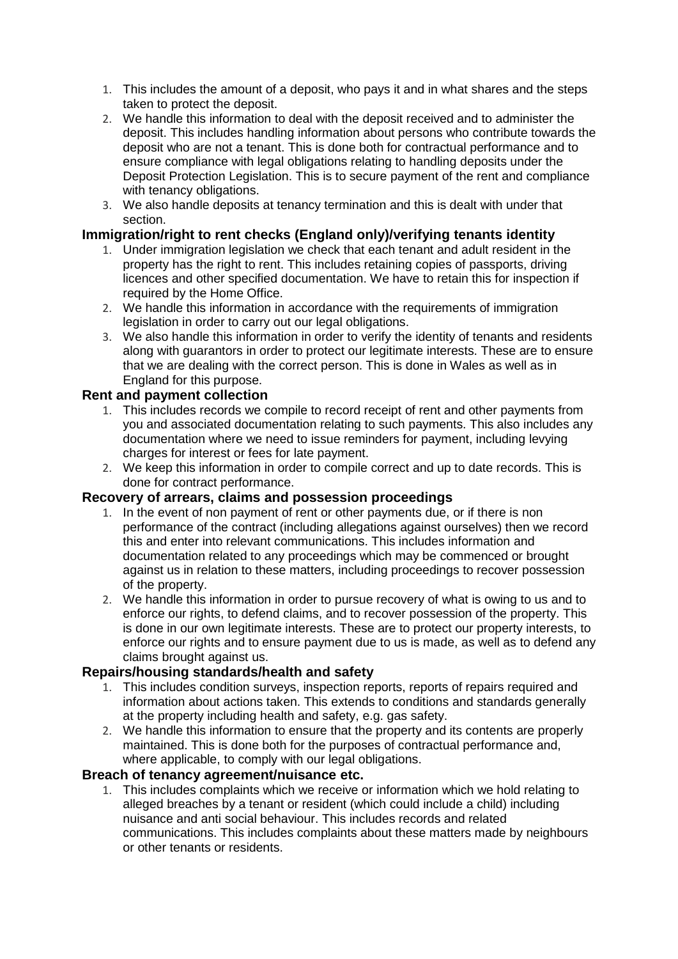- 1. This includes the amount of a deposit, who pays it and in what shares and the steps taken to protect the deposit.
- 2. We handle this information to deal with the deposit received and to administer the deposit. This includes handling information about persons who contribute towards the deposit who are not a tenant. This is done both for contractual performance and to ensure compliance with legal obligations relating to handling deposits under the Deposit Protection Legislation. This is to secure payment of the rent and compliance with tenancy obligations.
- 3. We also handle deposits at tenancy termination and this is dealt with under that section.

#### **Immigration/right to rent checks (England only)/verifying tenants identity**

- 1. Under immigration legislation we check that each tenant and adult resident in the property has the right to rent. This includes retaining copies of passports, driving licences and other specified documentation. We have to retain this for inspection if required by the Home Office.
- 2. We handle this information in accordance with the requirements of immigration legislation in order to carry out our legal obligations.
- 3. We also handle this information in order to verify the identity of tenants and residents along with guarantors in order to protect our legitimate interests. These are to ensure that we are dealing with the correct person. This is done in Wales as well as in England for this purpose.

#### **Rent and payment collection**

- 1. This includes records we compile to record receipt of rent and other payments from you and associated documentation relating to such payments. This also includes any documentation where we need to issue reminders for payment, including levying charges for interest or fees for late payment.
- 2. We keep this information in order to compile correct and up to date records. This is done for contract performance.

#### **Recovery of arrears, claims and possession proceedings**

- 1. In the event of non payment of rent or other payments due, or if there is non performance of the contract (including allegations against ourselves) then we record this and enter into relevant communications. This includes information and documentation related to any proceedings which may be commenced or brought against us in relation to these matters, including proceedings to recover possession of the property.
- 2. We handle this information in order to pursue recovery of what is owing to us and to enforce our rights, to defend claims, and to recover possession of the property. This is done in our own legitimate interests. These are to protect our property interests, to enforce our rights and to ensure payment due to us is made, as well as to defend any claims brought against us.

#### **Repairs/housing standards/health and safety**

- 1. This includes condition surveys, inspection reports, reports of repairs required and information about actions taken. This extends to conditions and standards generally at the property including health and safety, e.g. gas safety.
- 2. We handle this information to ensure that the property and its contents are properly maintained. This is done both for the purposes of contractual performance and, where applicable, to comply with our legal obligations.

#### **Breach of tenancy agreement/nuisance etc.**

1. This includes complaints which we receive or information which we hold relating to alleged breaches by a tenant or resident (which could include a child) including nuisance and anti social behaviour. This includes records and related communications. This includes complaints about these matters made by neighbours or other tenants or residents.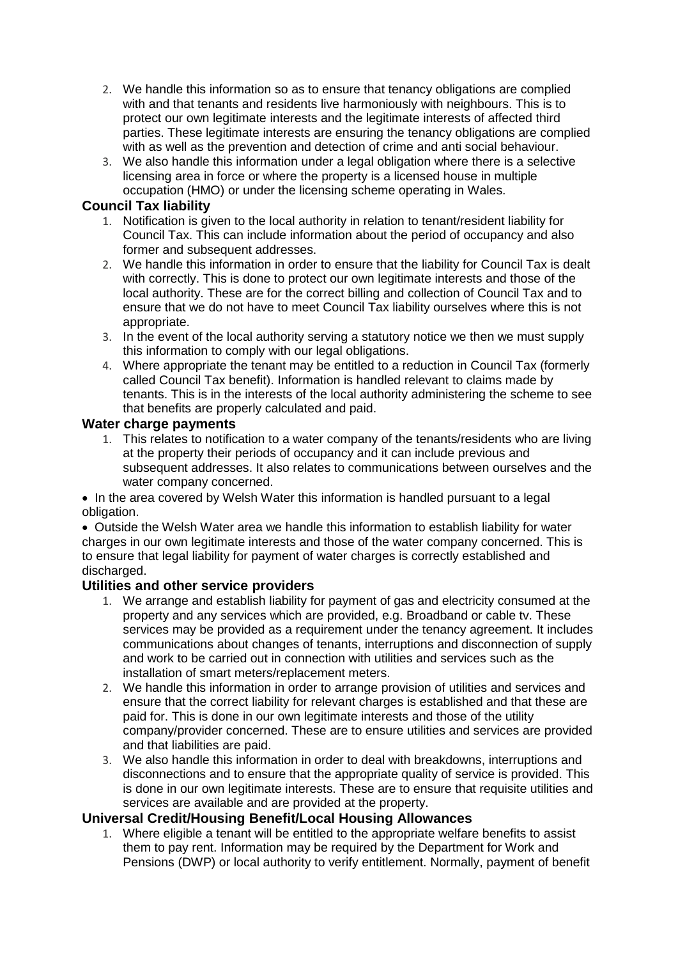- 2. We handle this information so as to ensure that tenancy obligations are complied with and that tenants and residents live harmoniously with neighbours. This is to protect our own legitimate interests and the legitimate interests of affected third parties. These legitimate interests are ensuring the tenancy obligations are complied with as well as the prevention and detection of crime and anti social behaviour.
- 3. We also handle this information under a legal obligation where there is a selective licensing area in force or where the property is a licensed house in multiple occupation (HMO) or under the licensing scheme operating in Wales.

## **Council Tax liability**

- 1. Notification is given to the local authority in relation to tenant/resident liability for Council Tax. This can include information about the period of occupancy and also former and subsequent addresses.
- 2. We handle this information in order to ensure that the liability for Council Tax is dealt with correctly. This is done to protect our own legitimate interests and those of the local authority. These are for the correct billing and collection of Council Tax and to ensure that we do not have to meet Council Tax liability ourselves where this is not appropriate.
- 3. In the event of the local authority serving a statutory notice we then we must supply this information to comply with our legal obligations.
- 4. Where appropriate the tenant may be entitled to a reduction in Council Tax (formerly called Council Tax benefit). Information is handled relevant to claims made by tenants. This is in the interests of the local authority administering the scheme to see that benefits are properly calculated and paid.

## **Water charge payments**

1. This relates to notification to a water company of the tenants/residents who are living at the property their periods of occupancy and it can include previous and subsequent addresses. It also relates to communications between ourselves and the water company concerned.

• In the area covered by Welsh Water this information is handled pursuant to a legal obligation.

 Outside the Welsh Water area we handle this information to establish liability for water charges in our own legitimate interests and those of the water company concerned. This is to ensure that legal liability for payment of water charges is correctly established and discharged.

## **Utilities and other service providers**

- 1. We arrange and establish liability for payment of gas and electricity consumed at the property and any services which are provided, e.g. Broadband or cable tv. These services may be provided as a requirement under the tenancy agreement. It includes communications about changes of tenants, interruptions and disconnection of supply and work to be carried out in connection with utilities and services such as the installation of smart meters/replacement meters.
- 2. We handle this information in order to arrange provision of utilities and services and ensure that the correct liability for relevant charges is established and that these are paid for. This is done in our own legitimate interests and those of the utility company/provider concerned. These are to ensure utilities and services are provided and that liabilities are paid.
- 3. We also handle this information in order to deal with breakdowns, interruptions and disconnections and to ensure that the appropriate quality of service is provided. This is done in our own legitimate interests. These are to ensure that requisite utilities and services are available and are provided at the property.

#### **Universal Credit/Housing Benefit/Local Housing Allowances**

1. Where eligible a tenant will be entitled to the appropriate welfare benefits to assist them to pay rent. Information may be required by the Department for Work and Pensions (DWP) or local authority to verify entitlement. Normally, payment of benefit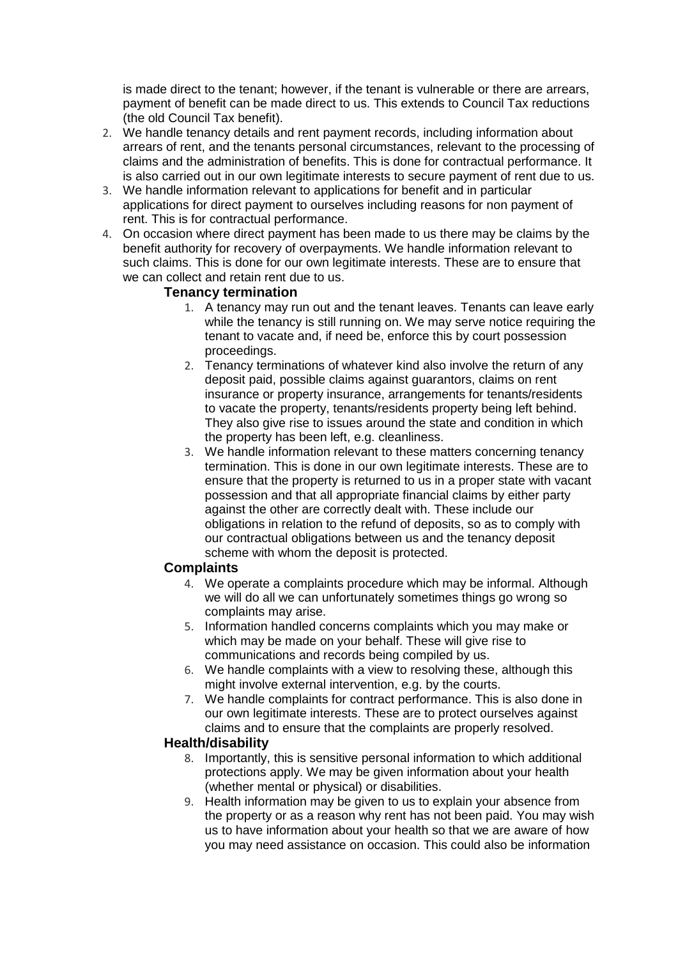is made direct to the tenant; however, if the tenant is vulnerable or there are arrears, payment of benefit can be made direct to us. This extends to Council Tax reductions (the old Council Tax benefit).

- 2. We handle tenancy details and rent payment records, including information about arrears of rent, and the tenants personal circumstances, relevant to the processing of claims and the administration of benefits. This is done for contractual performance. It is also carried out in our own legitimate interests to secure payment of rent due to us.
- 3. We handle information relevant to applications for benefit and in particular applications for direct payment to ourselves including reasons for non payment of rent. This is for contractual performance.
- 4. On occasion where direct payment has been made to us there may be claims by the benefit authority for recovery of overpayments. We handle information relevant to such claims. This is done for our own legitimate interests. These are to ensure that we can collect and retain rent due to us.

#### **Tenancy termination**

- 1. A tenancy may run out and the tenant leaves. Tenants can leave early while the tenancy is still running on. We may serve notice requiring the tenant to vacate and, if need be, enforce this by court possession proceedings.
- 2. Tenancy terminations of whatever kind also involve the return of any deposit paid, possible claims against guarantors, claims on rent insurance or property insurance, arrangements for tenants/residents to vacate the property, tenants/residents property being left behind. They also give rise to issues around the state and condition in which the property has been left, e.g. cleanliness.
- 3. We handle information relevant to these matters concerning tenancy termination. This is done in our own legitimate interests. These are to ensure that the property is returned to us in a proper state with vacant possession and that all appropriate financial claims by either party against the other are correctly dealt with. These include our obligations in relation to the refund of deposits, so as to comply with our contractual obligations between us and the tenancy deposit scheme with whom the deposit is protected.

## **Complaints**

- 4. We operate a complaints procedure which may be informal. Although we will do all we can unfortunately sometimes things go wrong so complaints may arise.
- 5. Information handled concerns complaints which you may make or which may be made on your behalf. These will give rise to communications and records being compiled by us.
- 6. We handle complaints with a view to resolving these, although this might involve external intervention, e.g. by the courts.
- 7. We handle complaints for contract performance. This is also done in our own legitimate interests. These are to protect ourselves against claims and to ensure that the complaints are properly resolved.

## **Health/disability**

- 8. Importantly, this is sensitive personal information to which additional protections apply. We may be given information about your health (whether mental or physical) or disabilities.
- 9. Health information may be given to us to explain your absence from the property or as a reason why rent has not been paid. You may wish us to have information about your health so that we are aware of how you may need assistance on occasion. This could also be information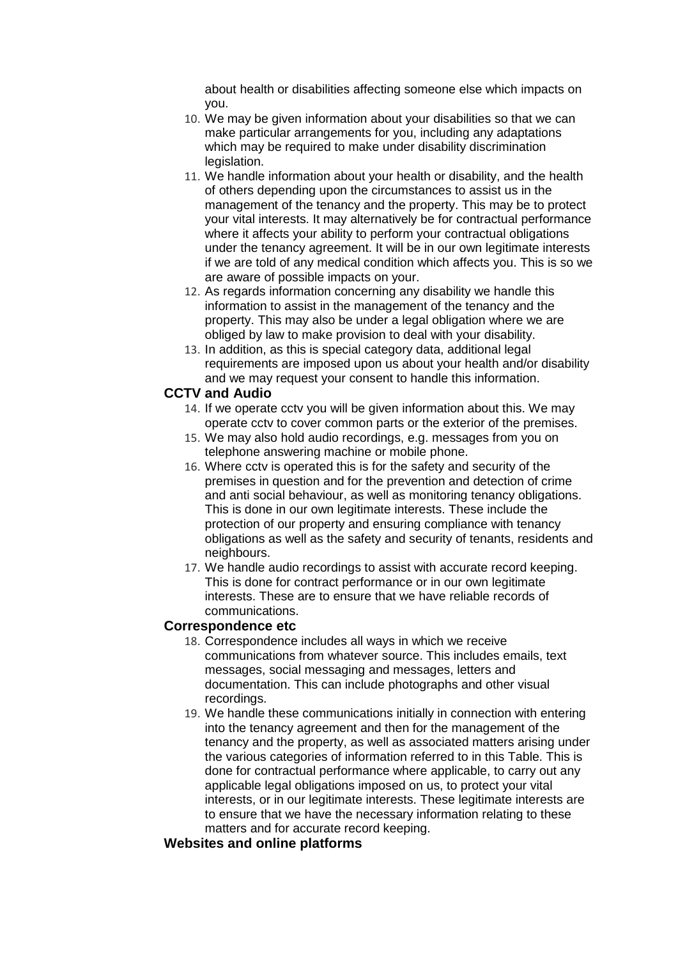about health or disabilities affecting someone else which impacts on you.

- 10. We may be given information about your disabilities so that we can make particular arrangements for you, including any adaptations which may be required to make under disability discrimination legislation.
- 11. We handle information about your health or disability, and the health of others depending upon the circumstances to assist us in the management of the tenancy and the property. This may be to protect your vital interests. It may alternatively be for contractual performance where it affects your ability to perform your contractual obligations under the tenancy agreement. It will be in our own legitimate interests if we are told of any medical condition which affects you. This is so we are aware of possible impacts on your.
- 12. As regards information concerning any disability we handle this information to assist in the management of the tenancy and the property. This may also be under a legal obligation where we are obliged by law to make provision to deal with your disability.
- 13. In addition, as this is special category data, additional legal requirements are imposed upon us about your health and/or disability and we may request your consent to handle this information.

#### **CCTV and Audio**

- 14. If we operate cctv you will be given information about this. We may operate cctv to cover common parts or the exterior of the premises.
- 15. We may also hold audio recordings, e.g. messages from you on telephone answering machine or mobile phone.
- 16. Where cctv is operated this is for the safety and security of the premises in question and for the prevention and detection of crime and anti social behaviour, as well as monitoring tenancy obligations. This is done in our own legitimate interests. These include the protection of our property and ensuring compliance with tenancy obligations as well as the safety and security of tenants, residents and neighbours.
- 17. We handle audio recordings to assist with accurate record keeping. This is done for contract performance or in our own legitimate interests. These are to ensure that we have reliable records of communications.

#### **Correspondence etc**

- 18. Correspondence includes all ways in which we receive communications from whatever source. This includes emails, text messages, social messaging and messages, letters and documentation. This can include photographs and other visual recordings.
- 19. We handle these communications initially in connection with entering into the tenancy agreement and then for the management of the tenancy and the property, as well as associated matters arising under the various categories of information referred to in this Table. This is done for contractual performance where applicable, to carry out any applicable legal obligations imposed on us, to protect your vital interests, or in our legitimate interests. These legitimate interests are to ensure that we have the necessary information relating to these matters and for accurate record keeping.

#### **Websites and online platforms**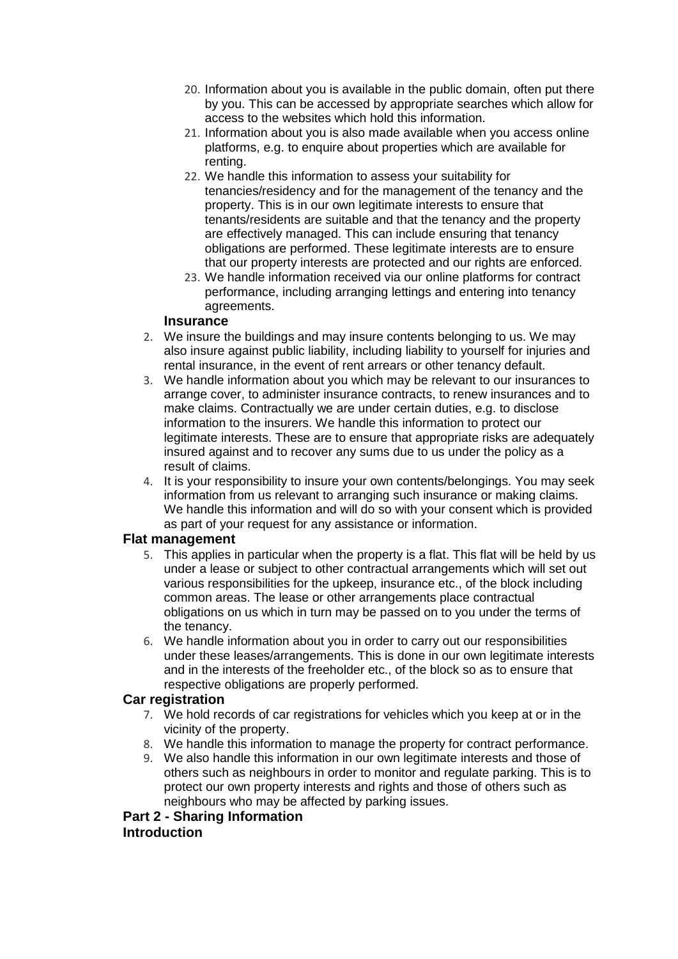- 20. Information about you is available in the public domain, often put there by you. This can be accessed by appropriate searches which allow for access to the websites which hold this information.
- 21. Information about you is also made available when you access online platforms, e.g. to enquire about properties which are available for renting.
- 22. We handle this information to assess your suitability for tenancies/residency and for the management of the tenancy and the property. This is in our own legitimate interests to ensure that tenants/residents are suitable and that the tenancy and the property are effectively managed. This can include ensuring that tenancy obligations are performed. These legitimate interests are to ensure that our property interests are protected and our rights are enforced.
- 23. We handle information received via our online platforms for contract performance, including arranging lettings and entering into tenancy agreements.

#### **Insurance**

- 2. We insure the buildings and may insure contents belonging to us. We may also insure against public liability, including liability to yourself for injuries and rental insurance, in the event of rent arrears or other tenancy default.
- 3. We handle information about you which may be relevant to our insurances to arrange cover, to administer insurance contracts, to renew insurances and to make claims. Contractually we are under certain duties, e.g. to disclose information to the insurers. We handle this information to protect our legitimate interests. These are to ensure that appropriate risks are adequately insured against and to recover any sums due to us under the policy as a result of claims.
- 4. It is your responsibility to insure your own contents/belongings. You may seek information from us relevant to arranging such insurance or making claims. We handle this information and will do so with your consent which is provided as part of your request for any assistance or information.

#### **Flat management**

- 5. This applies in particular when the property is a flat. This flat will be held by us under a lease or subject to other contractual arrangements which will set out various responsibilities for the upkeep, insurance etc., of the block including common areas. The lease or other arrangements place contractual obligations on us which in turn may be passed on to you under the terms of the tenancy.
- 6. We handle information about you in order to carry out our responsibilities under these leases/arrangements. This is done in our own legitimate interests and in the interests of the freeholder etc., of the block so as to ensure that respective obligations are properly performed.

#### **Car registration**

- 7. We hold records of car registrations for vehicles which you keep at or in the vicinity of the property.
- 8. We handle this information to manage the property for contract performance.
- 9. We also handle this information in our own legitimate interests and those of others such as neighbours in order to monitor and regulate parking. This is to protect our own property interests and rights and those of others such as neighbours who may be affected by parking issues.

# **Part 2 - Sharing Information**

## **Introduction**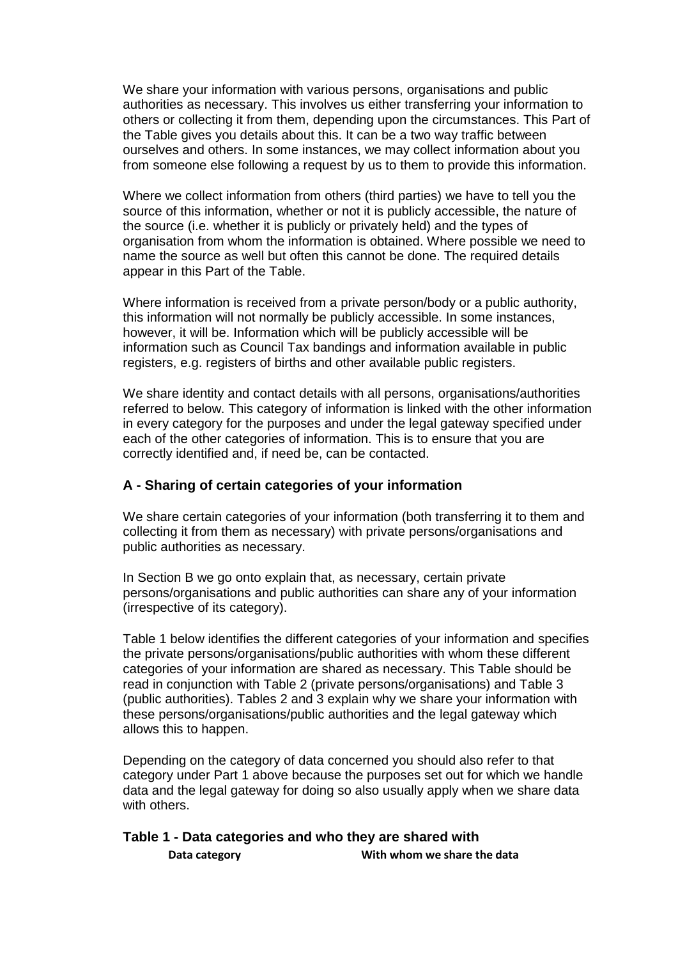We share your information with various persons, organisations and public authorities as necessary. This involves us either transferring your information to others or collecting it from them, depending upon the circumstances. This Part of the Table gives you details about this. It can be a two way traffic between ourselves and others. In some instances, we may collect information about you from someone else following a request by us to them to provide this information.

Where we collect information from others (third parties) we have to tell you the source of this information, whether or not it is publicly accessible, the nature of the source (i.e. whether it is publicly or privately held) and the types of organisation from whom the information is obtained. Where possible we need to name the source as well but often this cannot be done. The required details appear in this Part of the Table.

Where information is received from a private person/body or a public authority, this information will not normally be publicly accessible. In some instances, however, it will be. Information which will be publicly accessible will be information such as Council Tax bandings and information available in public registers, e.g. registers of births and other available public registers.

We share identity and contact details with all persons, organisations/authorities referred to below. This category of information is linked with the other information in every category for the purposes and under the legal gateway specified under each of the other categories of information. This is to ensure that you are correctly identified and, if need be, can be contacted.

#### **A - Sharing of certain categories of your information**

We share certain categories of your information (both transferring it to them and collecting it from them as necessary) with private persons/organisations and public authorities as necessary.

In Section B we go onto explain that, as necessary, certain private persons/organisations and public authorities can share any of your information (irrespective of its category).

Table 1 below identifies the different categories of your information and specifies the private persons/organisations/public authorities with whom these different categories of your information are shared as necessary. This Table should be read in conjunction with Table 2 (private persons/organisations) and Table 3 (public authorities). Tables 2 and 3 explain why we share your information with these persons/organisations/public authorities and the legal gateway which allows this to happen.

Depending on the category of data concerned you should also refer to that category under Part 1 above because the purposes set out for which we handle data and the legal gateway for doing so also usually apply when we share data with others.

#### **Table 1 - Data categories and who they are shared with Data category With whom we share the data**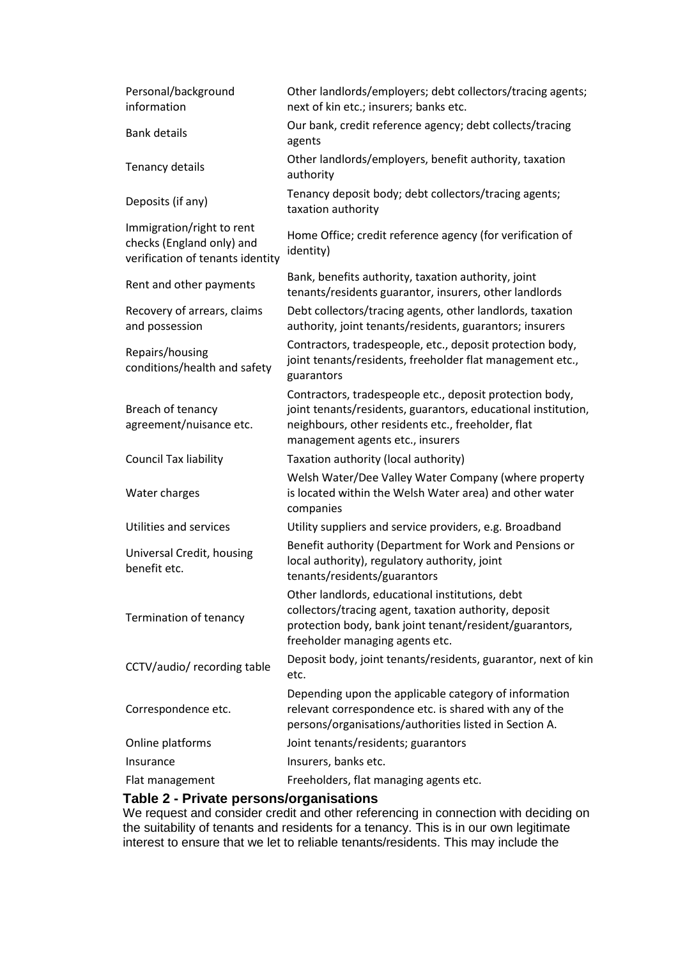| Personal/background<br>information                                                         | Other landlords/employers; debt collectors/tracing agents;<br>next of kin etc.; insurers; banks etc.                                                                                                                |
|--------------------------------------------------------------------------------------------|---------------------------------------------------------------------------------------------------------------------------------------------------------------------------------------------------------------------|
| <b>Bank details</b>                                                                        | Our bank, credit reference agency; debt collects/tracing<br>agents                                                                                                                                                  |
| Tenancy details                                                                            | Other landlords/employers, benefit authority, taxation<br>authority                                                                                                                                                 |
| Deposits (if any)                                                                          | Tenancy deposit body; debt collectors/tracing agents;<br>taxation authority                                                                                                                                         |
| Immigration/right to rent<br>checks (England only) and<br>verification of tenants identity | Home Office; credit reference agency (for verification of<br>identity)                                                                                                                                              |
| Rent and other payments                                                                    | Bank, benefits authority, taxation authority, joint<br>tenants/residents guarantor, insurers, other landlords                                                                                                       |
| Recovery of arrears, claims<br>and possession                                              | Debt collectors/tracing agents, other landlords, taxation<br>authority, joint tenants/residents, guarantors; insurers                                                                                               |
| Repairs/housing<br>conditions/health and safety                                            | Contractors, tradespeople, etc., deposit protection body,<br>joint tenants/residents, freeholder flat management etc.,<br>guarantors                                                                                |
| Breach of tenancy<br>agreement/nuisance etc.                                               | Contractors, tradespeople etc., deposit protection body,<br>joint tenants/residents, guarantors, educational institution,<br>neighbours, other residents etc., freeholder, flat<br>management agents etc., insurers |
| Council Tax liability                                                                      | Taxation authority (local authority)                                                                                                                                                                                |
| Water charges                                                                              | Welsh Water/Dee Valley Water Company (where property<br>is located within the Welsh Water area) and other water<br>companies                                                                                        |
| Utilities and services                                                                     | Utility suppliers and service providers, e.g. Broadband                                                                                                                                                             |
| Universal Credit, housing<br>benefit etc.                                                  | Benefit authority (Department for Work and Pensions or<br>local authority), regulatory authority, joint<br>tenants/residents/guarantors                                                                             |
| Termination of tenancy                                                                     | Other landlords, educational institutions, debt<br>collectors/tracing agent, taxation authority, deposit<br>protection body, bank joint tenant/resident/guarantors,<br>freeholder managing agents etc.              |
| CCTV/audio/ recording table                                                                | Deposit body, joint tenants/residents, guarantor, next of kin<br>etc.                                                                                                                                               |
| Correspondence etc.                                                                        | Depending upon the applicable category of information<br>relevant correspondence etc. is shared with any of the<br>persons/organisations/authorities listed in Section A.                                           |
| Online platforms                                                                           | Joint tenants/residents; guarantors                                                                                                                                                                                 |
| Insurance                                                                                  | Insurers, banks etc.                                                                                                                                                                                                |
| Flat management                                                                            | Freeholders, flat managing agents etc.                                                                                                                                                                              |
| Table 2 - Private persons/organisations                                                    |                                                                                                                                                                                                                     |

We request and consider credit and other referencing in connection with deciding on the suitability of tenants and residents for a tenancy. This is in our own legitimate interest to ensure that we let to reliable tenants/residents. This may include the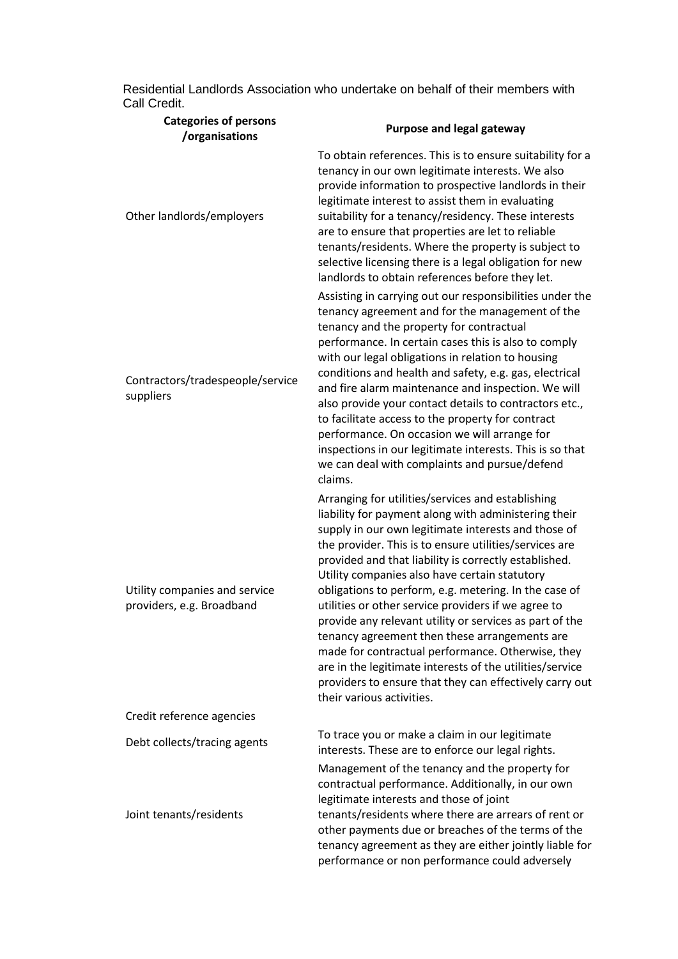| Residential Landlords Association who undertake on behalf of their members with |  |  |
|---------------------------------------------------------------------------------|--|--|
| Call Credit.                                                                    |  |  |

| <b>Categories of persons</b><br>/organisations             | <b>Purpose and legal gateway</b>                                                                                                                                                                                                                                                                                                                                                                                                                                                                                                                                                                                                                                                                                                                                          |
|------------------------------------------------------------|---------------------------------------------------------------------------------------------------------------------------------------------------------------------------------------------------------------------------------------------------------------------------------------------------------------------------------------------------------------------------------------------------------------------------------------------------------------------------------------------------------------------------------------------------------------------------------------------------------------------------------------------------------------------------------------------------------------------------------------------------------------------------|
| Other landlords/employers                                  | To obtain references. This is to ensure suitability for a<br>tenancy in our own legitimate interests. We also<br>provide information to prospective landlords in their<br>legitimate interest to assist them in evaluating<br>suitability for a tenancy/residency. These interests<br>are to ensure that properties are let to reliable<br>tenants/residents. Where the property is subject to<br>selective licensing there is a legal obligation for new<br>landlords to obtain references before they let.                                                                                                                                                                                                                                                              |
| Contractors/tradespeople/service<br>suppliers              | Assisting in carrying out our responsibilities under the<br>tenancy agreement and for the management of the<br>tenancy and the property for contractual<br>performance. In certain cases this is also to comply<br>with our legal obligations in relation to housing<br>conditions and health and safety, e.g. gas, electrical<br>and fire alarm maintenance and inspection. We will<br>also provide your contact details to contractors etc.,<br>to facilitate access to the property for contract<br>performance. On occasion we will arrange for<br>inspections in our legitimate interests. This is so that<br>we can deal with complaints and pursue/defend<br>claims.                                                                                               |
| Utility companies and service<br>providers, e.g. Broadband | Arranging for utilities/services and establishing<br>liability for payment along with administering their<br>supply in our own legitimate interests and those of<br>the provider. This is to ensure utilities/services are<br>provided and that liability is correctly established.<br>Utility companies also have certain statutory<br>obligations to perform, e.g. metering. In the case of<br>utilities or other service providers if we agree to<br>provide any relevant utility or services as part of the<br>tenancy agreement then these arrangements are<br>made for contractual performance. Otherwise, they<br>are in the legitimate interests of the utilities/service<br>providers to ensure that they can effectively carry out<br>their various activities. |
| Credit reference agencies                                  |                                                                                                                                                                                                                                                                                                                                                                                                                                                                                                                                                                                                                                                                                                                                                                           |
| Debt collects/tracing agents                               | To trace you or make a claim in our legitimate<br>interests. These are to enforce our legal rights.                                                                                                                                                                                                                                                                                                                                                                                                                                                                                                                                                                                                                                                                       |
| Joint tenants/residents                                    | Management of the tenancy and the property for<br>contractual performance. Additionally, in our own<br>legitimate interests and those of joint<br>tenants/residents where there are arrears of rent or<br>other payments due or breaches of the terms of the<br>tenancy agreement as they are either jointly liable for<br>performance or non performance could adversely                                                                                                                                                                                                                                                                                                                                                                                                 |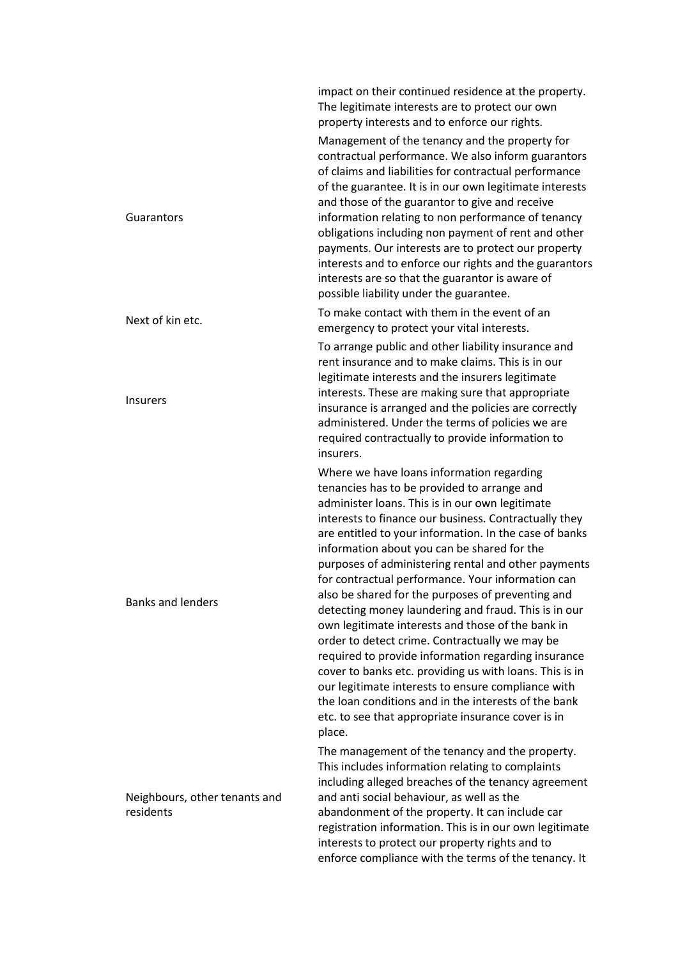|                                            | impact on their continued residence at the property.<br>The legitimate interests are to protect our own<br>property interests and to enforce our rights.                                                                                                                                                                                                                                                                                                                                                                                                                                                                                                                                                                                                                                                                                                                                                                                      |
|--------------------------------------------|-----------------------------------------------------------------------------------------------------------------------------------------------------------------------------------------------------------------------------------------------------------------------------------------------------------------------------------------------------------------------------------------------------------------------------------------------------------------------------------------------------------------------------------------------------------------------------------------------------------------------------------------------------------------------------------------------------------------------------------------------------------------------------------------------------------------------------------------------------------------------------------------------------------------------------------------------|
| Guarantors                                 | Management of the tenancy and the property for<br>contractual performance. We also inform guarantors<br>of claims and liabilities for contractual performance<br>of the guarantee. It is in our own legitimate interests<br>and those of the guarantor to give and receive<br>information relating to non performance of tenancy<br>obligations including non payment of rent and other<br>payments. Our interests are to protect our property<br>interests and to enforce our rights and the guarantors<br>interests are so that the guarantor is aware of<br>possible liability under the guarantee.                                                                                                                                                                                                                                                                                                                                        |
| Next of kin etc.                           | To make contact with them in the event of an<br>emergency to protect your vital interests.                                                                                                                                                                                                                                                                                                                                                                                                                                                                                                                                                                                                                                                                                                                                                                                                                                                    |
| <b>Insurers</b>                            | To arrange public and other liability insurance and<br>rent insurance and to make claims. This is in our<br>legitimate interests and the insurers legitimate<br>interests. These are making sure that appropriate<br>insurance is arranged and the policies are correctly<br>administered. Under the terms of policies we are<br>required contractually to provide information to<br>insurers.                                                                                                                                                                                                                                                                                                                                                                                                                                                                                                                                                |
| <b>Banks and lenders</b>                   | Where we have loans information regarding<br>tenancies has to be provided to arrange and<br>administer loans. This is in our own legitimate<br>interests to finance our business. Contractually they<br>are entitled to your information. In the case of banks<br>information about you can be shared for the<br>purposes of administering rental and other payments<br>for contractual performance. Your information can<br>also be shared for the purposes of preventing and<br>detecting money laundering and fraud. This is in our<br>own legitimate interests and those of the bank in<br>order to detect crime. Contractually we may be<br>required to provide information regarding insurance<br>cover to banks etc. providing us with loans. This is in<br>our legitimate interests to ensure compliance with<br>the loan conditions and in the interests of the bank<br>etc. to see that appropriate insurance cover is in<br>place. |
| Neighbours, other tenants and<br>residents | The management of the tenancy and the property.<br>This includes information relating to complaints<br>including alleged breaches of the tenancy agreement<br>and anti social behaviour, as well as the<br>abandonment of the property. It can include car<br>registration information. This is in our own legitimate<br>interests to protect our property rights and to<br>enforce compliance with the terms of the tenancy. It                                                                                                                                                                                                                                                                                                                                                                                                                                                                                                              |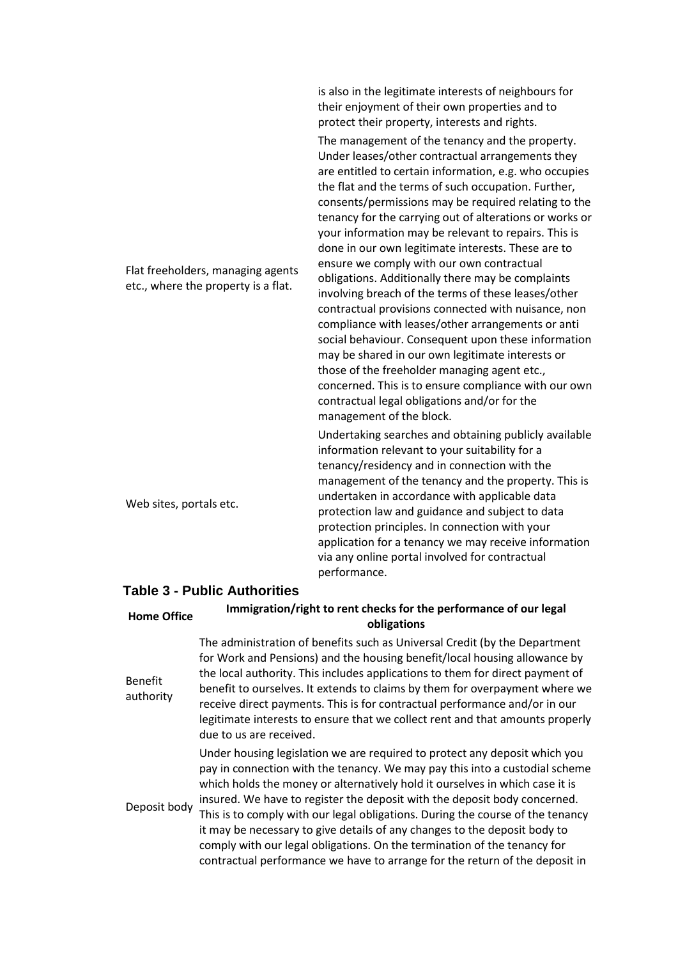|                                                                          | is also in the legitimate interests of neighbours for<br>their enjoyment of their own properties and to<br>protect their property, interests and rights.                                                                                                                                                                                                                                                                                                                                                                                                                                                                                                                                                                                                                                                                                                                                                                                                                                                                  |
|--------------------------------------------------------------------------|---------------------------------------------------------------------------------------------------------------------------------------------------------------------------------------------------------------------------------------------------------------------------------------------------------------------------------------------------------------------------------------------------------------------------------------------------------------------------------------------------------------------------------------------------------------------------------------------------------------------------------------------------------------------------------------------------------------------------------------------------------------------------------------------------------------------------------------------------------------------------------------------------------------------------------------------------------------------------------------------------------------------------|
| Flat freeholders, managing agents<br>etc., where the property is a flat. | The management of the tenancy and the property.<br>Under leases/other contractual arrangements they<br>are entitled to certain information, e.g. who occupies<br>the flat and the terms of such occupation. Further,<br>consents/permissions may be required relating to the<br>tenancy for the carrying out of alterations or works or<br>your information may be relevant to repairs. This is<br>done in our own legitimate interests. These are to<br>ensure we comply with our own contractual<br>obligations. Additionally there may be complaints<br>involving breach of the terms of these leases/other<br>contractual provisions connected with nuisance, non<br>compliance with leases/other arrangements or anti<br>social behaviour. Consequent upon these information<br>may be shared in our own legitimate interests or<br>those of the freeholder managing agent etc.,<br>concerned. This is to ensure compliance with our own<br>contractual legal obligations and/or for the<br>management of the block. |
| Web sites, portals etc.                                                  | Undertaking searches and obtaining publicly available<br>information relevant to your suitability for a<br>tenancy/residency and in connection with the<br>management of the tenancy and the property. This is<br>undertaken in accordance with applicable data<br>protection law and guidance and subject to data<br>protection principles. In connection with your<br>application for a tenancy we may receive information<br>via any online portal involved for contractual<br>performance.                                                                                                                                                                                                                                                                                                                                                                                                                                                                                                                            |

## **Table 3 - Public Authorities**

| <b>Home Office</b>          | Immigration/right to rent checks for the performance of our legal<br>obligations                                                                                                                                                                                                                                                                                                                                                                                                                                                                                                                                                                 |
|-----------------------------|--------------------------------------------------------------------------------------------------------------------------------------------------------------------------------------------------------------------------------------------------------------------------------------------------------------------------------------------------------------------------------------------------------------------------------------------------------------------------------------------------------------------------------------------------------------------------------------------------------------------------------------------------|
| <b>Benefit</b><br>authority | The administration of benefits such as Universal Credit (by the Department<br>for Work and Pensions) and the housing benefit/local housing allowance by<br>the local authority. This includes applications to them for direct payment of<br>benefit to ourselves. It extends to claims by them for overpayment where we<br>receive direct payments. This is for contractual performance and/or in our<br>legitimate interests to ensure that we collect rent and that amounts properly<br>due to us are received.                                                                                                                                |
| Deposit body                | Under housing legislation we are required to protect any deposit which you<br>pay in connection with the tenancy. We may pay this into a custodial scheme<br>which holds the money or alternatively hold it ourselves in which case it is<br>insured. We have to register the deposit with the deposit body concerned.<br>This is to comply with our legal obligations. During the course of the tenancy<br>it may be necessary to give details of any changes to the deposit body to<br>comply with our legal obligations. On the termination of the tenancy for<br>contractual performance we have to arrange for the return of the deposit in |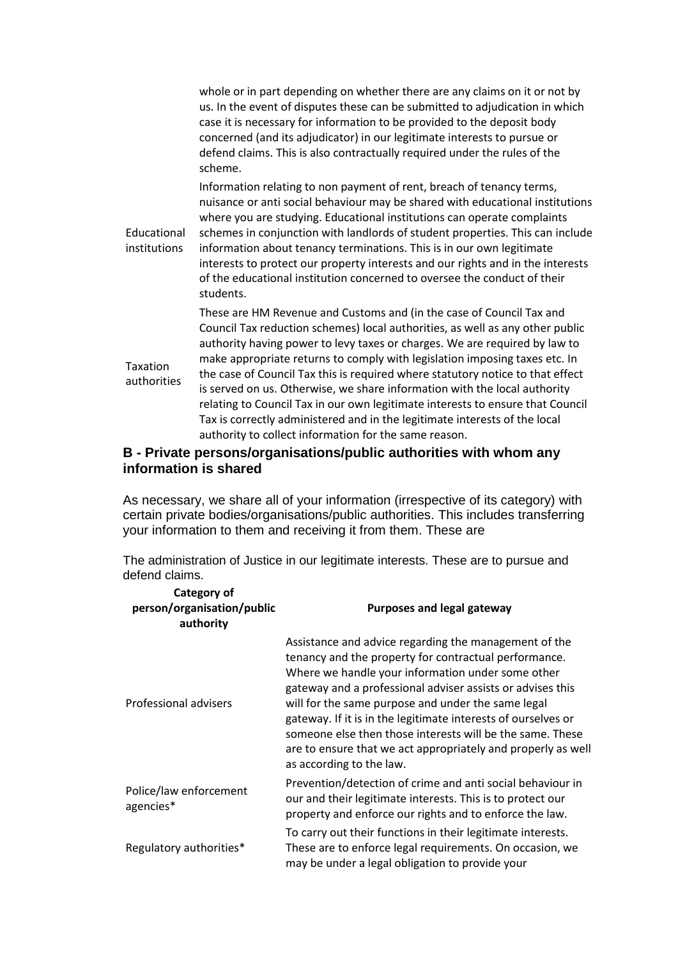whole or in part depending on whether there are any claims on it or not by us. In the event of disputes these can be submitted to adjudication in which case it is necessary for information to be provided to the deposit body concerned (and its adjudicator) in our legitimate interests to pursue or defend claims. This is also contractually required under the rules of the scheme. Educational institutions Information relating to non payment of rent, breach of tenancy terms, nuisance or anti social behaviour may be shared with educational institutions where you are studying. Educational institutions can operate complaints schemes in conjunction with landlords of student properties. This can include information about tenancy terminations. This is in our own legitimate interests to protect our property interests and our rights and in the interests of the educational institution concerned to oversee the conduct of their students. Taxation authorities These are HM Revenue and Customs and (in the case of Council Tax and Council Tax reduction schemes) local authorities, as well as any other public authority having power to levy taxes or charges. We are required by law to make appropriate returns to comply with legislation imposing taxes etc. In the case of Council Tax this is required where statutory notice to that effect is served on us. Otherwise, we share information with the local authority relating to Council Tax in our own legitimate interests to ensure that Council Tax is correctly administered and in the legitimate interests of the local authority to collect information for the same reason.

## **B - Private persons/organisations/public authorities with whom any information is shared**

As necessary, we share all of your information (irrespective of its category) with certain private bodies/organisations/public authorities. This includes transferring your information to them and receiving it from them. These are

The administration of Justice in our legitimate interests. These are to pursue and defend claims.

| Category of<br>person/organisation/public<br>authority | <b>Purposes and legal gateway</b>                                                                                                                                                                                                                                                                                                                                                                                                                                                                                 |
|--------------------------------------------------------|-------------------------------------------------------------------------------------------------------------------------------------------------------------------------------------------------------------------------------------------------------------------------------------------------------------------------------------------------------------------------------------------------------------------------------------------------------------------------------------------------------------------|
| Professional advisers                                  | Assistance and advice regarding the management of the<br>tenancy and the property for contractual performance.<br>Where we handle your information under some other<br>gateway and a professional adviser assists or advises this<br>will for the same purpose and under the same legal<br>gateway. If it is in the legitimate interests of ourselves or<br>someone else then those interests will be the same. These<br>are to ensure that we act appropriately and properly as well<br>as according to the law. |
| Police/law enforcement<br>agencies*                    | Prevention/detection of crime and anti social behaviour in<br>our and their legitimate interests. This is to protect our<br>property and enforce our rights and to enforce the law.                                                                                                                                                                                                                                                                                                                               |
| Regulatory authorities*                                | To carry out their functions in their legitimate interests.<br>These are to enforce legal requirements. On occasion, we<br>may be under a legal obligation to provide your                                                                                                                                                                                                                                                                                                                                        |